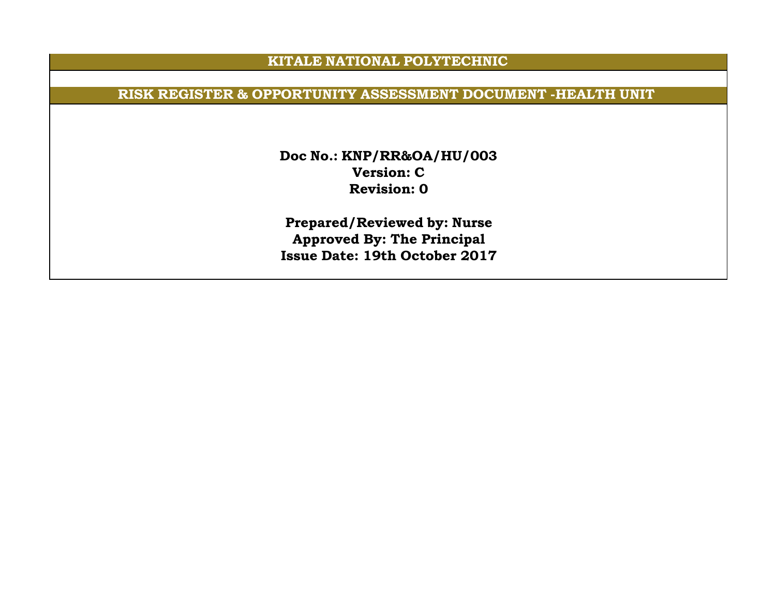## **KITALE NATIONAL POLYTECHNIC**

## **RISK REGISTER & OPPORTUNITY ASSESSMENT DOCUMENT -HEALTH UNIT**

**Doc No.: KNP/RR&OA/HU/003 Version: C Revision: 0**

**Prepared/Reviewed by: Nurse Approved By: The Principal Issue Date: 19th October 2017**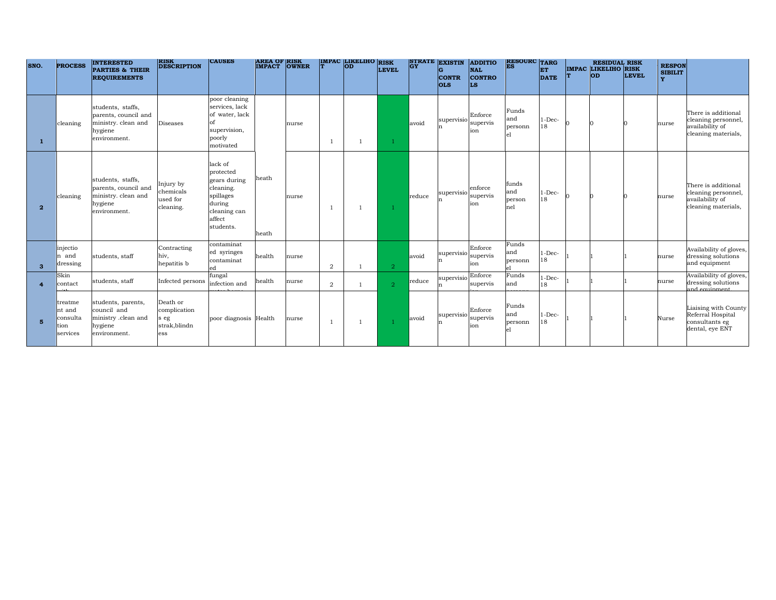| SNO.           | <b>PROCESS</b>                                    | <b>INTERESTED</b><br><b>PARTIES &amp; THEIR</b><br><b>REQUIREMENTS</b>                      | <b>RISK</b><br><b>DESCRIPTION</b>                        | <b>CAUSES</b>                                                                                                   | <b>AREA OF RISK<br/>IMPACT OWNER</b> |       |                | IMPAC LIKELIHO | <b>RISK</b><br><b>LEVEL</b> | <b>GY</b> | STRATE EXISTIN<br><b>CONTR</b><br><b>OLS</b> | <b>ADDITIO</b><br><b>NAL</b><br><b>CONTRO</b><br>LS | <b>RESOURC</b> TARG           | ET<br><b>DATE</b> | lΤ | <b>RESIDUAL RISK</b><br><b>IMPAC LIKELIHO RISK</b><br><b>OD</b> | <b>LEVEL</b> | <b>RESPON</b><br><b>SIBILIT</b><br>v |                                                                                      |
|----------------|---------------------------------------------------|---------------------------------------------------------------------------------------------|----------------------------------------------------------|-----------------------------------------------------------------------------------------------------------------|--------------------------------------|-------|----------------|----------------|-----------------------------|-----------|----------------------------------------------|-----------------------------------------------------|-------------------------------|-------------------|----|-----------------------------------------------------------------|--------------|--------------------------------------|--------------------------------------------------------------------------------------|
|                | cleaning                                          | students, staffs,<br>parents, council and<br>ministry. clean and<br>hygiene<br>environment. | <b>Diseases</b>                                          | poor cleaning<br>services, lack<br>of water, lack<br>of<br>supervision,<br>poorly<br>motivated                  |                                      | nurse |                |                |                             | avoid     | $\supervisio$                                | Enforce<br>supervis<br>ion                          | Funds<br>and<br>personn       | $1 - Dec-$<br>18  |    |                                                                 |              | nurse                                | There is additional<br>cleaning personnel,<br>availability of<br>cleaning materials, |
| $\overline{2}$ | cleaning                                          | students, staffs,<br>parents, council and<br>ministry. clean and<br>hygiene<br>environment. | Injury by<br>chemicals<br>used for<br>cleaning.          | lack of<br>protected<br>gears during<br>cleaning.<br>spillages<br>during<br>cleaning can<br>affect<br>students. | heath<br>heath                       | nurse |                | $\overline{1}$ |                             | reduce    | supervisio                                   | enforce<br>'supervis<br>ion                         | funds<br>and<br>person<br>nel | $1$ -Dec-<br>18   |    |                                                                 |              | nurse                                | There is additional<br>cleaning personnel,<br>availability of<br>cleaning materials, |
| -3             | injectio<br>n and<br>dressing                     | students, staff                                                                             | Contracting<br>hiv,<br>hepatitis b                       | contaminat<br>ed syringes<br>contaminat<br>ed                                                                   | health                               | nurse | $\overline{2}$ | -1             | $\overline{2}$              | avoid     | supervisio                                   | Enforce<br>supervis<br>ion                          | Funds<br>and<br>personn       | $1-Dec-$<br>18    |    |                                                                 |              | nurse                                | Availability of gloves,<br>dressing solutions<br>and equipment                       |
|                | Skin<br>contact                                   | students, staff                                                                             | Infected persons                                         | fungal<br>infection and                                                                                         | health                               | nurse | $\overline{2}$ | $\overline{1}$ | $\overline{2}$              | reduce    | $ $ supervisio $ $ Enforce                   | supervis                                            | Funds<br>and                  | $1-Dec-$<br>18    |    |                                                                 |              | nurse                                | Availability of gloves,<br>dressing solutions<br>and equipment                       |
| -5             | treatme<br>nt and<br>consulta<br>tion<br>services | students, parents,<br>council and<br>ministry .clean and<br>hygiene<br>environment.         | Death or<br>complication<br>s eg<br>strak, blindn<br>ess | poor diagnosis Health                                                                                           |                                      | nurse |                | $\overline{1}$ |                             | avoid     | supervisio                                   | Enforce<br>supervis<br>ion                          | Funds<br>and<br>personn       | $1-Dec-$<br>18    |    |                                                                 |              | Nurse                                | Liaising with County<br>Referral Hospital<br>consultants eg<br>dental, eye ENT       |